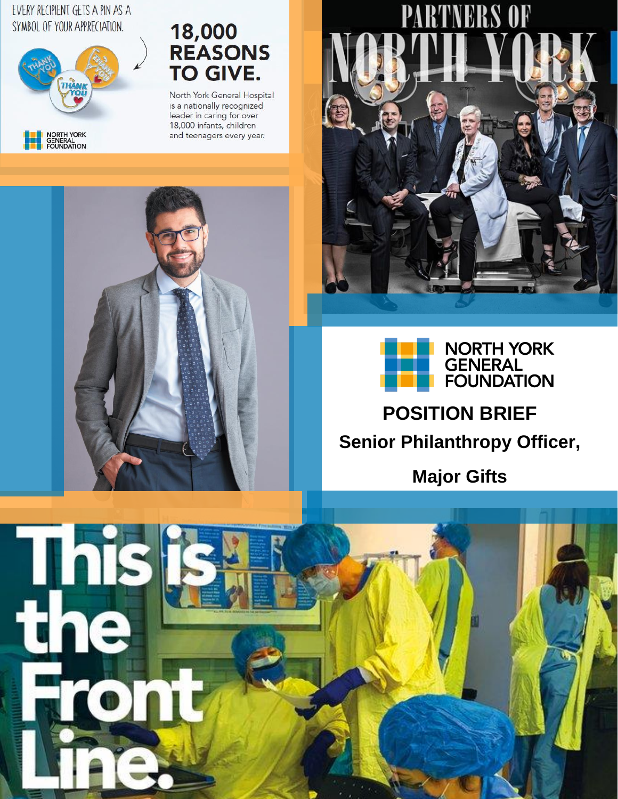#### EVERY RECIPIENT GETS A PIN AS A SYMBOL OF YOUR APPRECIATION.



# 18,000<br>REASONS **TO GIVE.**

North York General Hospital is a nationally recognized leader in caring for over 18,000 infants, children and teenagers every year.







## **POSITION BRIEF Senior Philanthropy Officer,**

**Major Gifts**

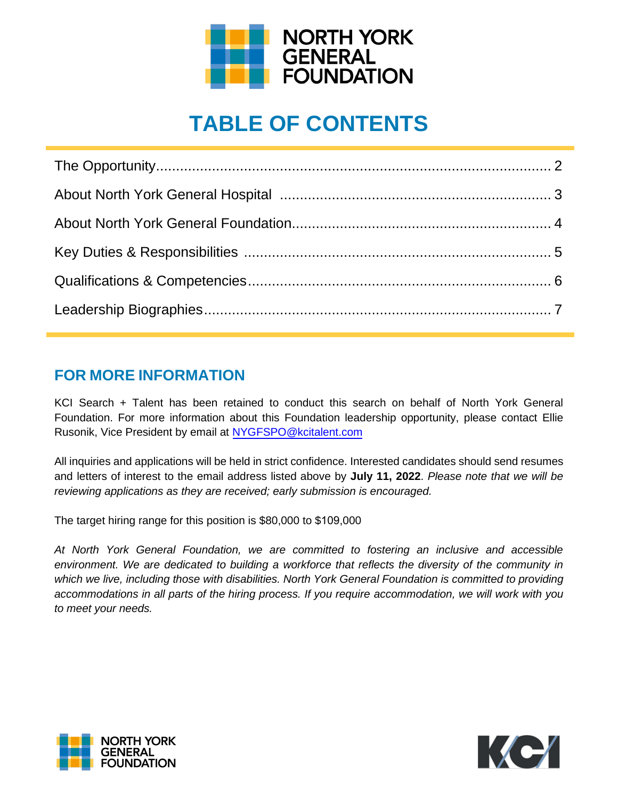

## **TABLE OF CONTENTS**

### **FOR MORE INFORMATION**

KCI Search + Talent has been retained to conduct this search on behalf of North York General Foundation. For more information about this Foundation leadership opportunity, please contact Ellie Rusonik, Vice President by email at [NYGFSPO@kcitalent.com](mailto:NYGFSPO@kcitalent.com)

All inquiries and applications will be held in strict confidence. Interested candidates should send resumes and letters of interest to the email address listed above by **July 11, 2022**. *Please note that we will be reviewing applications as they are received; early submission is encouraged.*

The target hiring range for this position is \$80,000 to \$109,000

*At North York General Foundation, we are committed to fostering an inclusive and accessible environment. We are dedicated to building a workforce that reflects the diversity of the community in which we live, including those with disabilities. North York General Foundation is committed to providing accommodations in all parts of the hiring process. If you require accommodation, we will work with you to meet your needs.* 



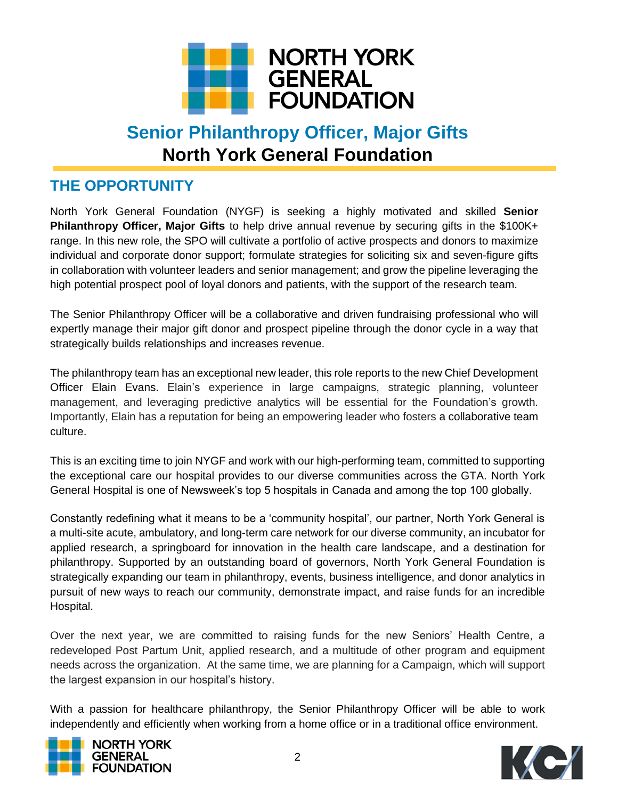

## **Senior Philanthropy Officer, Major Gifts North York General Foundation**

### **THE OPPORTUNITY**

North York General Foundation (NYGF) is seeking a highly motivated and skilled **Senior Philanthropy Officer, Major Gifts** to help drive annual revenue by securing gifts in the \$100K+ range. In this new role, the SPO will cultivate a portfolio of active prospects and donors to maximize individual and corporate donor support; formulate strategies for soliciting six and seven-figure gifts in collaboration with volunteer leaders and senior management; and grow the pipeline leveraging the high potential prospect pool of loyal donors and patients, with the support of the research team.

The Senior Philanthropy Officer will be a collaborative and driven fundraising professional who will expertly manage their major gift donor and prospect pipeline through the donor cycle in a way that strategically builds relationships and increases revenue.

The philanthropy team has an exceptional new leader, this role reports to the new Chief Development Officer Elain Evans. Elain's experience in large campaigns, strategic planning, volunteer management, and leveraging predictive analytics will be essential for the Foundation's growth. Importantly, Elain has a reputation for being an empowering leader who fosters a collaborative team culture.

This is an exciting time to join NYGF and work with our high-performing team, committed to supporting the exceptional care our hospital provides to our diverse communities across the GTA. North York General Hospital is one of Newsweek's top 5 hospitals in Canada and among the top 100 globally.

Constantly redefining what it means to be a 'community hospital', our partner, North York General is a multi-site acute, ambulatory, and long-term care network for our diverse community, an incubator for applied research, a springboard for innovation in the health care landscape, and a destination for philanthropy. Supported by an outstanding board of governors, North York General Foundation is strategically expanding our team in philanthropy, events, business intelligence, and donor analytics in pursuit of new ways to reach our community, demonstrate impact, and raise funds for an incredible Hospital.

Over the next year, we are committed to raising funds for the new Seniors' Health Centre, a redeveloped Post Partum Unit, applied research, and a multitude of other program and equipment needs across the organization. At the same time, we are planning for a Campaign, which will support the largest expansion in our hospital's history.

With a passion for healthcare philanthropy, the Senior Philanthropy Officer will be able to work independently and efficiently when working from a home office or in a traditional office environment.



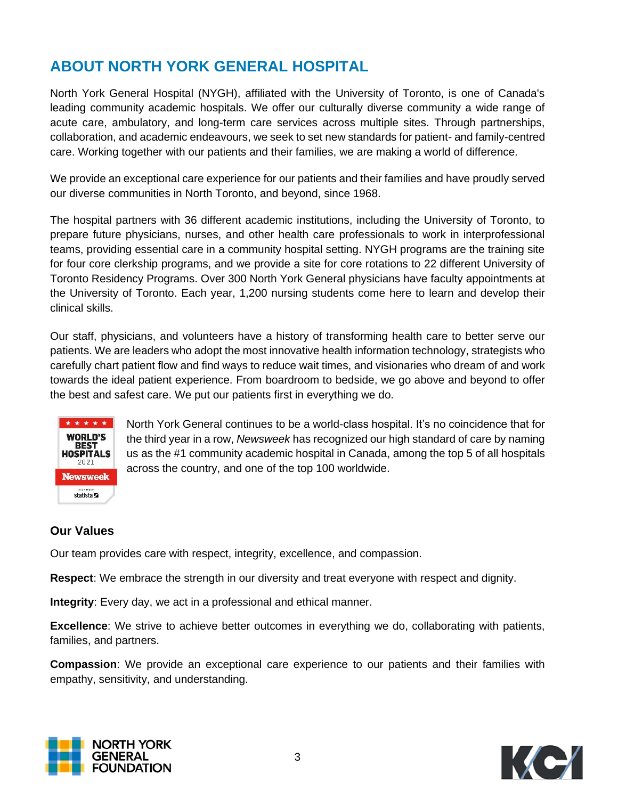## **ABOUT NORTH YORK GENERAL HOSPITAL**

North York General Hospital (NYGH), affiliated with the University of Toronto, is one of Canada's leading community academic hospitals. We offer our culturally diverse community a wide range of acute care, ambulatory, and long-term care services across multiple sites. Through partnerships, collaboration, and academic endeavours, we seek to set new standards for patient- and family-centred care. Working together with our patients and their families, we are making a world of difference.

We provide an exceptional care experience for our patients and their families and have proudly served our diverse communities in North Toronto, and beyond, since 1968.

The hospital partners with 36 different academic institutions, including the University of Toronto, to prepare future physicians, nurses, and other health care professionals to work in interprofessional teams, providing essential care in a community hospital setting. NYGH programs are the training site for four core clerkship programs, and we provide a site for core rotations to 22 different University of Toronto Residency Programs. Over 300 North York General physicians have faculty appointments at the University of Toronto. Each year, 1,200 nursing students come here to learn and develop their clinical skills.

Our staff, physicians, and volunteers have a history of transforming health care to better serve our patients. We are leaders who adopt the most innovative health information technology, strategists who carefully chart patient flow and find ways to reduce wait times, and visionaries who dream of and work towards the ideal patient experience. From boardroom to bedside, we go above and beyond to offer the best and safest care. We put our patients first in everything we do.



North York General continues to be a world-class hospital. It's no coincidence that for the third year in a row, *Newsweek* has recognized our high standard of care by naming us as the #1 community academic hospital in Canada, among the top 5 of all hospitals across the country, and one of the top 100 worldwide.

#### **Our Values**

Our team provides care with respect, integrity, excellence, and compassion.

**Respect**: We embrace the strength in our diversity and treat everyone with respect and dignity.

**Integrity**: Every day, we act in a professional and ethical manner.

**Excellence**: We strive to achieve better outcomes in everything we do, collaborating with patients, families, and partners.

**Compassion**: We provide an exceptional care experience to our patients and their families with empathy, sensitivity, and understanding.



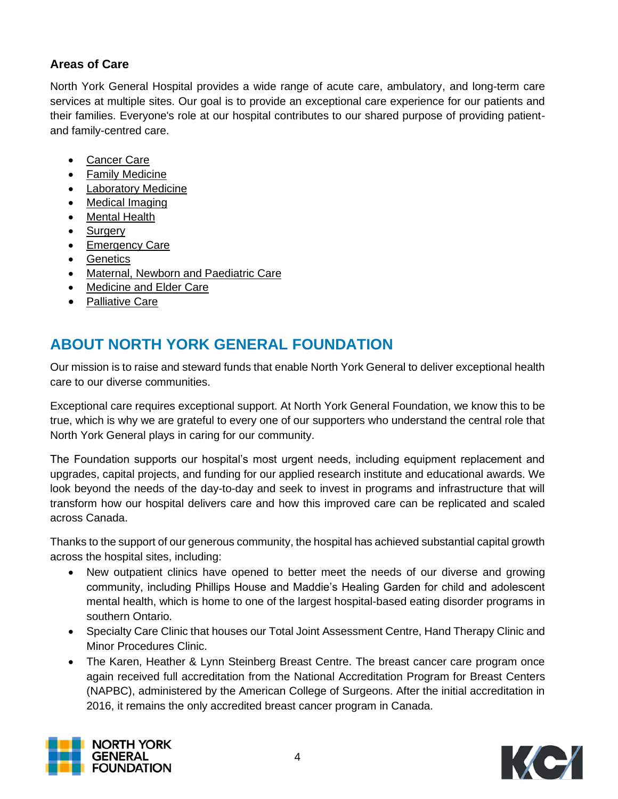#### **Areas of Care**

North York General Hospital provides a wide range of acute care, ambulatory, and long-term care services at multiple sites. Our goal is to provide an exceptional care experience for our patients and their families. Everyone's role at our hospital contributes to our shared purpose of providing patientand family-centred care.

- [Cancer Care](https://www.nygh.on.ca/areas-care/cancer-care)
- [Family Medicine](https://www.nygh.on.ca/areas-care/family-and-community-medicine)
- [Laboratory Medicine](https://www.nygh.on.ca/areas-care/laboratory-medicine)
- [Medical Imaging](https://www.nygh.on.ca/areas-care/medical-imaging)
- [Mental Health](https://www.nygh.on.ca/areas-care/mental-health)
- [Surgery](https://www.nygh.on.ca/areas-care/surgery)
- [Emergency Care](https://www.nygh.on.ca/areas-care/emergency-care)
- [Genetics](https://www.nygh.on.ca/areas-care/genetics)
- [Maternal, Newborn and Paediatric Care](https://www.nygh.on.ca/areas-care/maternal-newborn-and-paediatric-care)
- [Medicine and Elder Care](https://www.nygh.on.ca/areas-care/medicine-and-elder-care)
- [Palliative Care](https://www.nygh.on.ca/areas-care/freeman-centre-advancement-palliative-care)

## **ABOUT NORTH YORK GENERAL FOUNDATION**

Our mission is to raise and steward funds that enable North York General to deliver exceptional health care to our diverse communities.

Exceptional care requires exceptional support. At North York General Foundation, we know this to be true, which is why we are grateful to every one of our supporters who understand the central role that North York General plays in caring for our community.

The Foundation supports our hospital's most urgent needs, including equipment replacement and upgrades, capital projects, and funding for our applied research institute and educational awards. We look beyond the needs of the day-to-day and seek to invest in programs and infrastructure that will transform how our hospital delivers care and how this improved care can be replicated and scaled across Canada.

Thanks to the support of our generous community, the hospital has achieved substantial capital growth across the hospital sites, including:

- New outpatient clinics have opened to better meet the needs of our diverse and growing community, including Phillips House and Maddie's Healing Garden for child and adolescent mental health, which is home to one of the largest hospital-based eating disorder programs in southern Ontario.
- Specialty Care Clinic that houses our Total Joint Assessment Centre, Hand Therapy Clinic and Minor Procedures Clinic.
- The Karen, Heather & Lynn Steinberg Breast Centre. The breast cancer care program once again received full accreditation from the National Accreditation Program for Breast Centers (NAPBC), administered by the American College of Surgeons. After the initial accreditation in 2016, it remains the only accredited breast cancer program in Canada.



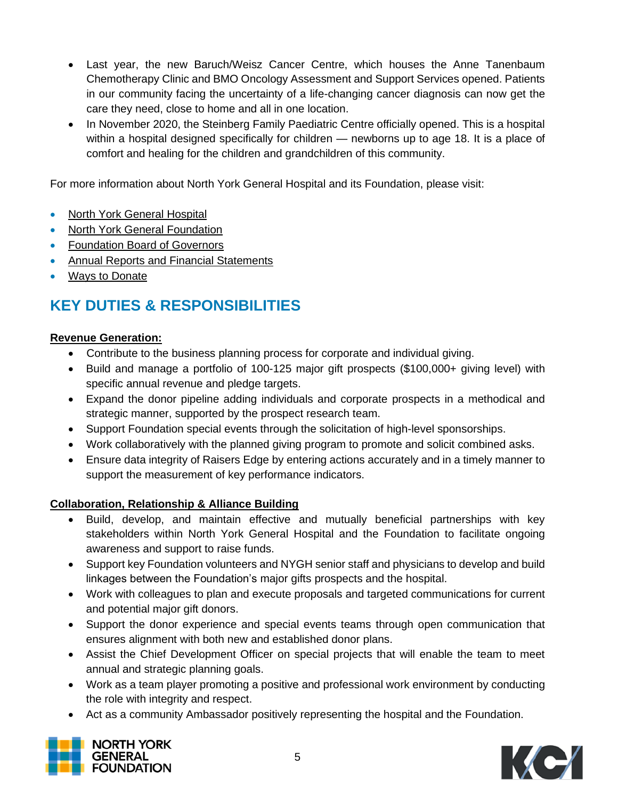- Last year, the new Baruch/Weisz Cancer Centre, which houses the Anne Tanenbaum Chemotherapy Clinic and BMO Oncology Assessment and Support Services opened. Patients in our community facing the uncertainty of a life-changing cancer diagnosis can now get the care they need, close to home and all in one location.
- In November 2020, the Steinberg Family Paediatric Centre officially opened. This is a hospital within a hospital designed specifically for children — newborns up to age 18. It is a place of comfort and healing for the children and grandchildren of this community.

For more information about North York General Hospital and its Foundation, please visit:

- [North York General Hospital](https://www.nygh.on.ca/)
- [North York General Foundation](https://nyghfoundation.ca/)
- [Foundation Board of Governors](https://nyghfoundation.ca/north-york-general-foundation-board-of-governors/)
- [Annual Reports and Financial Statements](https://nyghfoundation.ca/nygh-foundation-news-and-publications/)
- [Ways to Donate](https://nyghfoundation.ca/ways-to-donate/)

## **KEY DUTIES & RESPONSIBILITIES**

#### **Revenue Generation:**

- Contribute to the business planning process for corporate and individual giving.
- Build and manage a portfolio of 100-125 major gift prospects (\$100,000+ giving level) with specific annual revenue and pledge targets.
- Expand the donor pipeline adding individuals and corporate prospects in a methodical and strategic manner, supported by the prospect research team.
- Support Foundation special events through the solicitation of high-level sponsorships.
- Work collaboratively with the planned giving program to promote and solicit combined asks.
- Ensure data integrity of Raisers Edge by entering actions accurately and in a timely manner to support the measurement of key performance indicators.

#### **Collaboration, Relationship & Alliance Building**

- Build, develop, and maintain effective and mutually beneficial partnerships with key stakeholders within North York General Hospital and the Foundation to facilitate ongoing awareness and support to raise funds.
- Support key Foundation volunteers and NYGH senior staff and physicians to develop and build linkages between the Foundation's major gifts prospects and the hospital.
- Work with colleagues to plan and execute proposals and targeted communications for current and potential major gift donors.
- Support the donor experience and special events teams through open communication that ensures alignment with both new and established donor plans.
- Assist the Chief Development Officer on special projects that will enable the team to meet annual and strategic planning goals.
- Work as a team player promoting a positive and professional work environment by conducting the role with integrity and respect.
- Act as a community Ambassador positively representing the hospital and the Foundation.



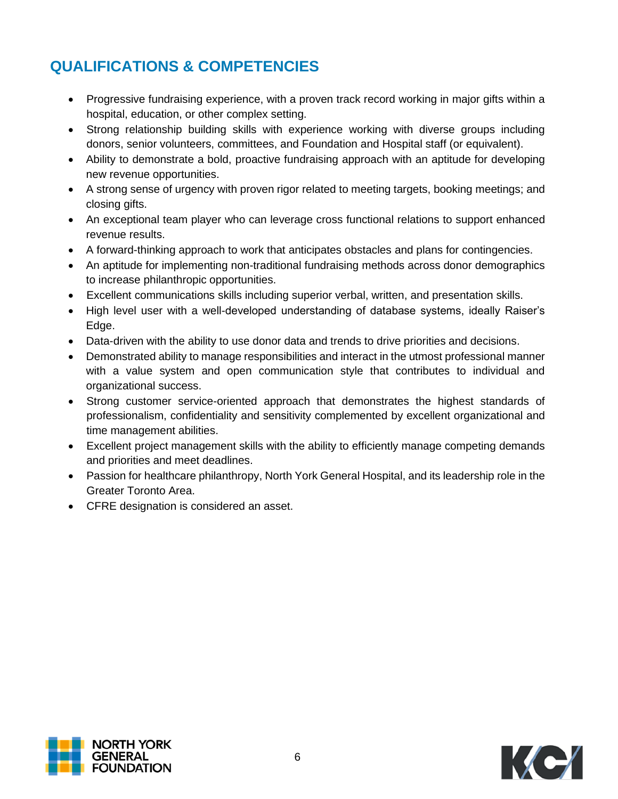## **QUALIFICATIONS & COMPETENCIES**

- Progressive fundraising experience, with a proven track record working in major gifts within a hospital, education, or other complex setting.
- Strong relationship building skills with experience working with diverse groups including donors, senior volunteers, committees, and Foundation and Hospital staff (or equivalent).
- Ability to demonstrate a bold, proactive fundraising approach with an aptitude for developing new revenue opportunities.
- A strong sense of urgency with proven rigor related to meeting targets, booking meetings; and closing gifts.
- An exceptional team player who can leverage cross functional relations to support enhanced revenue results.
- A forward-thinking approach to work that anticipates obstacles and plans for contingencies.
- An aptitude for implementing non-traditional fundraising methods across donor demographics to increase philanthropic opportunities.
- Excellent communications skills including superior verbal, written, and presentation skills.
- High level user with a well-developed understanding of database systems, ideally Raiser's Edge.
- Data-driven with the ability to use donor data and trends to drive priorities and decisions.
- Demonstrated ability to manage responsibilities and interact in the utmost professional manner with a value system and open communication style that contributes to individual and organizational success.
- Strong customer service-oriented approach that demonstrates the highest standards of professionalism, confidentiality and sensitivity complemented by excellent organizational and time management abilities.
- Excellent project management skills with the ability to efficiently manage competing demands and priorities and meet deadlines.
- Passion for healthcare philanthropy, North York General Hospital, and its leadership role in the Greater Toronto Area.
- CFRE designation is considered an asset.